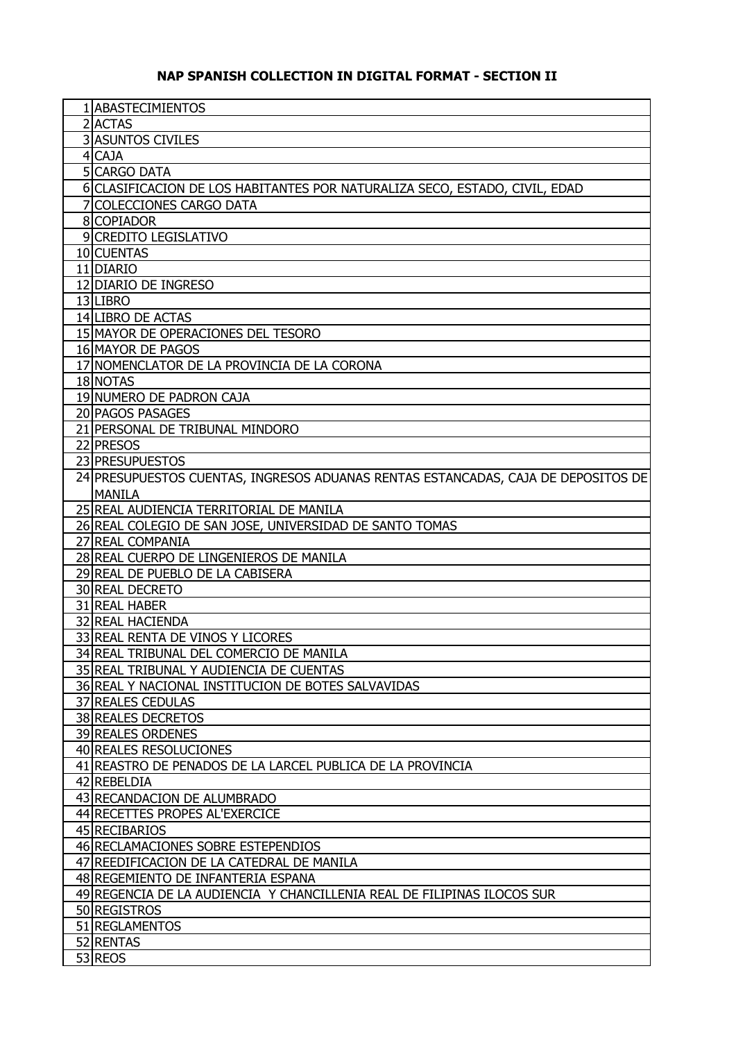## **NAP SPANISH COLLECTION IN DIGITAL FORMAT - SECTION II**

| 1 ABASTECIMIENTOS                                                                 |
|-----------------------------------------------------------------------------------|
| $2$ $ACTAS$                                                                       |
| <b>3 ASUNTOS CIVILES</b>                                                          |
| 4 CAJA                                                                            |
| <b>5 CARGO DATA</b>                                                               |
|                                                                                   |
| 6 CLASIFICACION DE LOS HABITANTES POR NATURALIZA SECO, ESTADO, CIVIL, EDAD        |
| 7 COLECCIONES CARGO DATA                                                          |
| 8 COPIADOR                                                                        |
| 9 CREDITO LEGISLATIVO                                                             |
| 10 CUENTAS                                                                        |
| 11 DIARIO                                                                         |
| 12 DIARIO DE INGRESO                                                              |
| 13 LIBRO                                                                          |
| 14 LIBRO DE ACTAS                                                                 |
| 15 MAYOR DE OPERACIONES DEL TESORO                                                |
| 16 MAYOR DE PAGOS                                                                 |
| 17 NOMENCLATOR DE LA PROVINCIA DE LA CORONA                                       |
| 18 NOTAS                                                                          |
| 19 NUMERO DE PADRON CAJA                                                          |
| 20 PAGOS PASAGES                                                                  |
| 21 PERSONAL DE TRIBUNAL MINDORO                                                   |
| 22 PRESOS                                                                         |
| 23 PRESUPUESTOS                                                                   |
| 24 PRESUPUESTOS CUENTAS, INGRESOS ADUANAS RENTAS ESTANCADAS, CAJA DE DEPOSITOS DE |
| <b>MANILA</b>                                                                     |
| 25 REAL AUDIENCIA TERRITORIAL DE MANILA                                           |
| 26 REAL COLEGIO DE SAN JOSE, UNIVERSIDAD DE SANTO TOMAS                           |
| 27 REAL COMPANIA                                                                  |
| 28 REAL CUERPO DE LINGENIEROS DE MANILA                                           |
| 29 REAL DE PUEBLO DE LA CABISERA                                                  |
| 30 REAL DECRETO                                                                   |
| 31 REAL HABER                                                                     |
| 32 REAL HACIENDA                                                                  |
| 33 REAL RENTA DE VINOS Y LICORES                                                  |
| 34 REAL TRIBUNAL DEL COMERCIO DE MANILA                                           |
|                                                                                   |
| 35 REAL TRIBUNAL Y AUDIENCIA DE CUENTAS                                           |
| 36 REAL Y NACIONAL INSTITUCION DE BOTES SALVAVIDAS                                |
| <b>37 REALES CEDULAS</b>                                                          |
| 38 REALES DECRETOS                                                                |
| <b>39 REALES ORDENES</b>                                                          |
| 40 REALES RESOLUCIONES                                                            |
| 41 REASTRO DE PENADOS DE LA LARCEL PUBLICA DE LA PROVINCIA                        |
| 42 REBELDIA                                                                       |
| 43 RECANDACION DE ALUMBRADO                                                       |
| 44 RECETTES PROPES AL'EXERCICE                                                    |
| 45 RECIBARIOS                                                                     |
| 46 RECLAMACIONES SOBRE ESTEPENDIOS                                                |
| 47 REEDIFICACION DE LA CATEDRAL DE MANILA                                         |
| 48 REGEMIENTO DE INFANTERIA ESPANA                                                |
| 49 REGENCIA DE LA AUDIENCIA Y CHANCILLENIA REAL DE FILIPINAS ILOCOS SUR           |
| 50 REGISTROS                                                                      |
| 51 REGLAMENTOS                                                                    |
| 52 RENTAS                                                                         |
| 53 REOS                                                                           |
|                                                                                   |